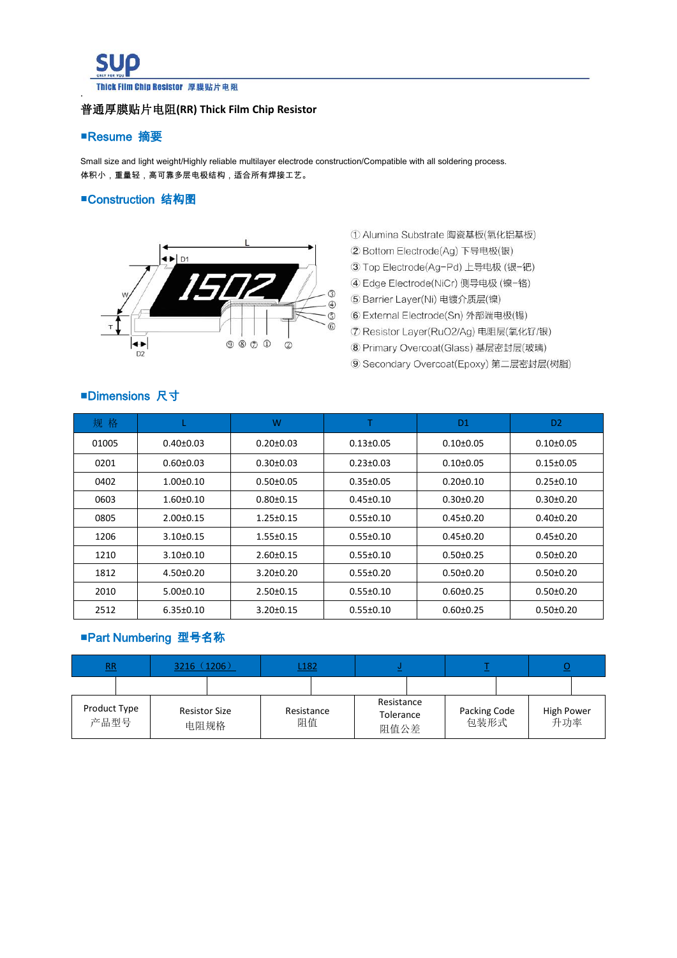

### 普通厚膜贴片电阻**(RR) Thick Film Chip Resistor**

### ■Resume 摘要

Small size and light weight/Highly reliable multilayer electrode construction/Compatible with all soldering process. 体积小,重量轻,高可靠多层电极结构,适合所有焊接工艺。

### ■Construction 结构图



- ① Alumina Substrate 陶瓷基板(氧化铝基板)
- 2 Bottom Electrode(Ag) 下导电极(银)
- 3 Top Electrode(Ag-Pd) 上导电极 (银-钯)
- 4 Edge Electrode(NiCr) 侧导电极 (镍-铬)
- 5 Barrier Layer(Ni) 电镀介质层(镍)
- 6 External Electrode(Sn) 外部端电极(锡)
- ⑦ Resistor Layer(RuO2/Ag) 电阻层(氧化钌/银)
- 8 Primary Overcoat(Glass) 基层密封层(玻璃)
- 9 Secondary Overcoat(Epoxy) 第二层密封层(树脂)

## ■Dimensions 尺寸

| 规格    |                 | W               |                 | D <sub>1</sub>  | D <sub>2</sub>  |
|-------|-----------------|-----------------|-----------------|-----------------|-----------------|
| 01005 | $0.40 \pm 0.03$ | $0.20 \pm 0.03$ | $0.13 \pm 0.05$ | $0.10+0.05$     | $0.10 \pm 0.05$ |
| 0201  | $0.60 \pm 0.03$ | $0.30 + 0.03$   | $0.23 \pm 0.03$ | $0.10+0.05$     | $0.15 \pm 0.05$ |
| 0402  | $1.00 \pm 0.10$ | $0.50 \pm 0.05$ | $0.35 \pm 0.05$ | $0.20 \pm 0.10$ | $0.25 \pm 0.10$ |
| 0603  | $1.60 \pm 0.10$ | $0.80 + 0.15$   | $0.45 \pm 0.10$ | $0.30 \pm 0.20$ | $0.30 \pm 0.20$ |
| 0805  | $2.00 \pm 0.15$ | $1.25 \pm 0.15$ | $0.55 \pm 0.10$ | $0.45 \pm 0.20$ | $0.40 \pm 0.20$ |
| 1206  | $3.10 \pm 0.15$ | $1.55 \pm 0.15$ | $0.55 \pm 0.10$ | $0.45 \pm 0.20$ | $0.45 \pm 0.20$ |
| 1210  | $3.10 \pm 0.10$ | $2.60 \pm 0.15$ | $0.55 \pm 0.10$ | $0.50 \pm 0.25$ | $0.50 \pm 0.20$ |
| 1812  | $4.50 \pm 0.20$ | $3.20 \pm 0.20$ | $0.55 \pm 0.20$ | $0.50 \pm 0.20$ | $0.50 \pm 0.20$ |
| 2010  | $5.00 \pm 0.10$ | $2.50 \pm 0.15$ | $0.55 \pm 0.10$ | $0.60 \pm 0.25$ | $0.50 \pm 0.20$ |
| 2512  | $6.35 \pm 0.10$ | $3.20 \pm 0.15$ | $0.55 \pm 0.10$ | $0.60 \pm 0.25$ | $0.50 \pm 0.20$ |

## ■Part Numbering 型号名称

| R                    | 3216(1206)                   |                  | L <sub>182</sub> |                                 |  |                      | $\sim$ |                          |  |  |
|----------------------|------------------------------|------------------|------------------|---------------------------------|--|----------------------|--------|--------------------------|--|--|
|                      |                              |                  |                  |                                 |  |                      |        |                          |  |  |
| Product Type<br>产品型号 | <b>Resistor Size</b><br>电阻规格 | Resistance<br>阻值 |                  | Resistance<br>Tolerance<br>阻值公差 |  | Packing Code<br>包装形式 |        | <b>High Power</b><br>升功率 |  |  |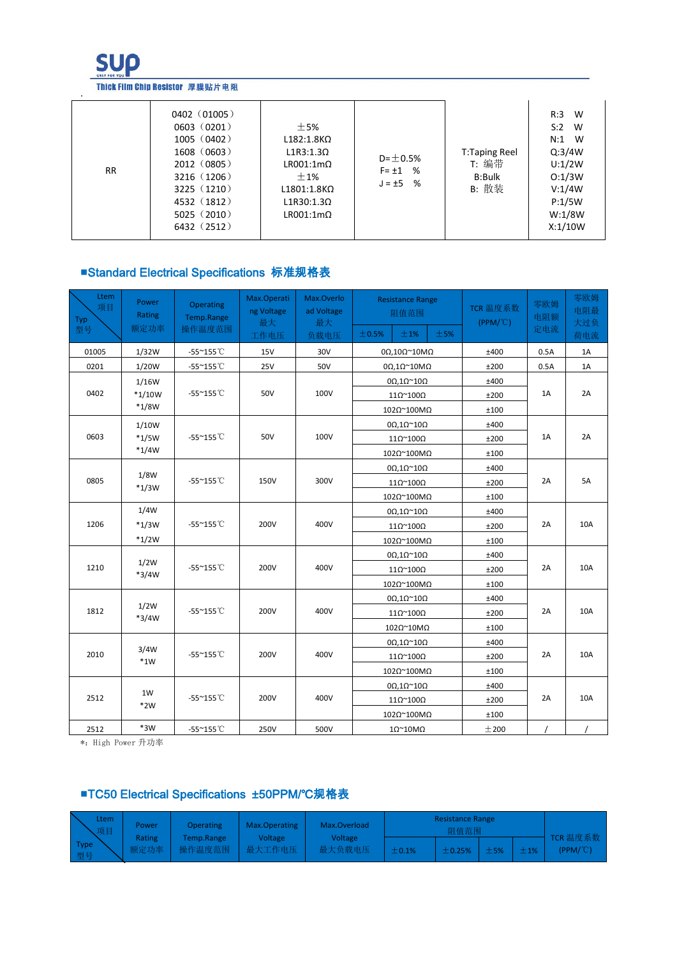

#### Thick Film Chip Resistor 厚膜贴片电阻

| <b>RR</b> | 0402(01005)<br>0603(0201)<br>1005(0402)<br>1608(0603)<br>2012(0805)<br>3216(1206)<br>3225(1210)<br>4532 (1812)<br>5025(2010)<br>6432 (2512) | ±5%<br>$L182:1.8K\Omega$<br>$L1R3:1.3\Omega$<br>$LR001:1m\Omega$<br>$\pm$ 1%<br>$L1801:1.8K\Omega$<br>$L1R30:1.3\Omega$<br>$LR001:1m\Omega$ | $D = \pm 0.5%$<br>$F = \pm 1$ %<br>$J = \pm 5$ % | <b>T:Taping Reel</b><br>T: 编带<br><b>B:Bulk</b><br>B: 散装 | W<br>R:3<br>W<br>S:2<br>$N:1$ W<br>Q:3/4W<br>U:1/2W<br>O:1/3W<br>V:1/4W<br>P:1/5W<br>W:1/8W<br>X:1/10W |  |
|-----------|---------------------------------------------------------------------------------------------------------------------------------------------|---------------------------------------------------------------------------------------------------------------------------------------------|--------------------------------------------------|---------------------------------------------------------|--------------------------------------------------------------------------------------------------------|--|
|-----------|---------------------------------------------------------------------------------------------------------------------------------------------|---------------------------------------------------------------------------------------------------------------------------------------------|--------------------------------------------------|---------------------------------------------------------|--------------------------------------------------------------------------------------------------------|--|

# ■Standard Electrical Specifications 标准规格表

| Ltem<br>项目<br>Typ<br>型号 | Power<br>Rating<br>额定功率 | <b>Operating</b><br>Temp.Range<br>操作温度范围 | Max.Operati<br>ng Voltage<br>最大<br>工作电压 | Max.Overlo<br>ad Voltage<br>最大<br>负载电压 | <b>Resistance Range</b><br>阻值范围<br>±1%<br>±5%<br>±0.5% | TCR 温度系数<br>$(PPM/^{\circ}C)$ | 零欧姆<br>电阻额<br>定电流 | 零欧姆<br>电阻最<br>大过负<br>荷电流 |
|-------------------------|-------------------------|------------------------------------------|-----------------------------------------|----------------------------------------|--------------------------------------------------------|-------------------------------|-------------------|--------------------------|
| 01005                   | 1/32W                   | $-55^{\sim}155^{\circ}$ C                | <b>15V</b>                              | 30V                                    | $0\Omega$ ,10 $\Omega$ ~10M $\Omega$                   | ±400                          | 0.5A              | 1A                       |
| 0201                    | 1/20W                   | $-55^{\sim}155^{\circ}$ C                | <b>25V</b>                              | 50V                                    | $0\Omega, 1\Omega$ ~10M $\Omega$                       | ±200                          | 0.5A              | 1A                       |
|                         | 1/16W                   |                                          |                                         |                                        | $0\Omega, 1\Omega^\sim 10\Omega$                       | ±400                          |                   |                          |
| 0402                    | $*1/10W$                | -55~155℃                                 | 50V                                     | 100V                                   | $11Ω$ <sup>~</sup> $100Ω$                              | ±200                          | 1A                | 2A                       |
|                         | $*1/8W$                 |                                          |                                         |                                        | 102Ω~100MΩ                                             | ±100                          |                   |                          |
|                         | 1/10W                   |                                          |                                         |                                        | $0\Omega, 1\Omega^\sim 10\Omega$                       | ±400                          |                   |                          |
| 0603                    | $*1/5W$                 | -55~155°C                                | 50V                                     | 100V                                   | $11Ω$ ~ $100Ω$                                         | ±200                          | 1A                | 2A                       |
|                         | $*1/4W$                 |                                          |                                         |                                        | 102Ω~100MΩ                                             | $\pm 100$                     |                   |                          |
|                         |                         |                                          |                                         |                                        | $0\Omega, 1\Omega^\sim 10\Omega$                       | ±400                          |                   |                          |
| 0805                    | 1/8W<br>$*1/3W$         | -55~155°C                                | 150V                                    | 300V                                   | $11Ω$ ~ $100Ω$                                         | ±200                          | 2A                | 5A                       |
|                         |                         |                                          |                                         |                                        | 102Ω~100MΩ                                             | ±100                          |                   |                          |
|                         | 1/4W                    |                                          |                                         |                                        | $0\Omega, 1\Omega^\sim 10\Omega$                       | ±400                          |                   |                          |
| 1206                    | $*1/3W$                 | $-55^{\circ}155^{\circ}$ C               | 200V                                    | 400V                                   | $11Ω$ <sup>~</sup> $100Ω$                              | ±200                          | 2A                | 10A                      |
|                         | $*1/2W$                 |                                          |                                         |                                        | 102Ω~100MΩ                                             | ±100                          |                   |                          |
|                         |                         |                                          |                                         |                                        | $0\Omega, 1\Omega$ ~10 $\Omega$                        | ±400                          |                   |                          |
| 1210                    | 1/2W<br>$*3/4W$         | -55~155°C                                | 200V                                    | 400V                                   | $11Ω$ <sup>~</sup> $100Ω$                              | ±200                          | 2A                | 10A                      |
|                         |                         |                                          |                                         |                                        | 102Ω~100MΩ                                             | ±100                          |                   |                          |
|                         |                         |                                          |                                         |                                        | $0\Omega, 1\Omega$ ~10 $\Omega$                        | ±400                          |                   |                          |
| 1812                    | 1/2W<br>$*3/4W$         | $-55^{\sim}155^{\circ}$ C                | 200V                                    | 400V                                   | $11Ω$ ~ $100Ω$                                         | ±200                          | 2A                | 10A                      |
|                         |                         |                                          |                                         |                                        | 102Ω~10MΩ                                              | ±100                          |                   |                          |
|                         |                         |                                          |                                         |                                        | $0\Omega, 1\Omega^\sim 10\Omega$                       | ±400                          |                   |                          |
| 2010                    | 3/4W<br>$*1W$           | -55~155°C                                | 200V                                    | 400V                                   | $11Ω$ <sup>~</sup> $100Ω$                              | ±200                          | 2A                | 10A                      |
|                         |                         |                                          |                                         |                                        | 102Ω~100MΩ                                             | ±100                          |                   |                          |
|                         |                         |                                          |                                         |                                        | $0\Omega, 1\Omega^\sim 10\Omega$                       | ±400                          |                   |                          |
| 2512                    | 1W<br>$*2W$             | $-55^{\circ}155^{\circ}$ C               | 200V                                    | 400V                                   | $11Ω$ ~ $100Ω$                                         | ±200                          | 2A                | 10A                      |
|                         |                         |                                          |                                         |                                        | 102Ω~100MΩ                                             | ±100                          |                   |                          |
| 2512                    | $*3W$                   | -55~155°C                                | 250V                                    | 500V                                   | $10^{\circ}10\text{M}\Omega$                           | ±200                          |                   |                          |

\*:High Power 升功率

# ■TC50 Electrical Specifications ±50PPM/℃规格表

| $\mathbb N$<br>Ltem<br>一项目 | Power         | Operating  | Max.Operating | Max.Overload                                 | <b>Resistance Range</b><br>阻值范围 |                                                               |  |  |                                |
|----------------------------|---------------|------------|---------------|----------------------------------------------|---------------------------------|---------------------------------------------------------------|--|--|--------------------------------|
| Type<br>型号                 | <b>Rating</b> | Temp.Range | Voltage       | Voltage<br>  额定功率   操作温度范围   最大工作电压   最大负载电压 | $\pm 0.1\%$                     | $\vert$ $\pm$ 0.25% $\vert$ $\pm$ 5% $\vert$ $\pm$ 1% $\vert$ |  |  | TCR 温度系数<br>$(PPM/\mathbb{C})$ |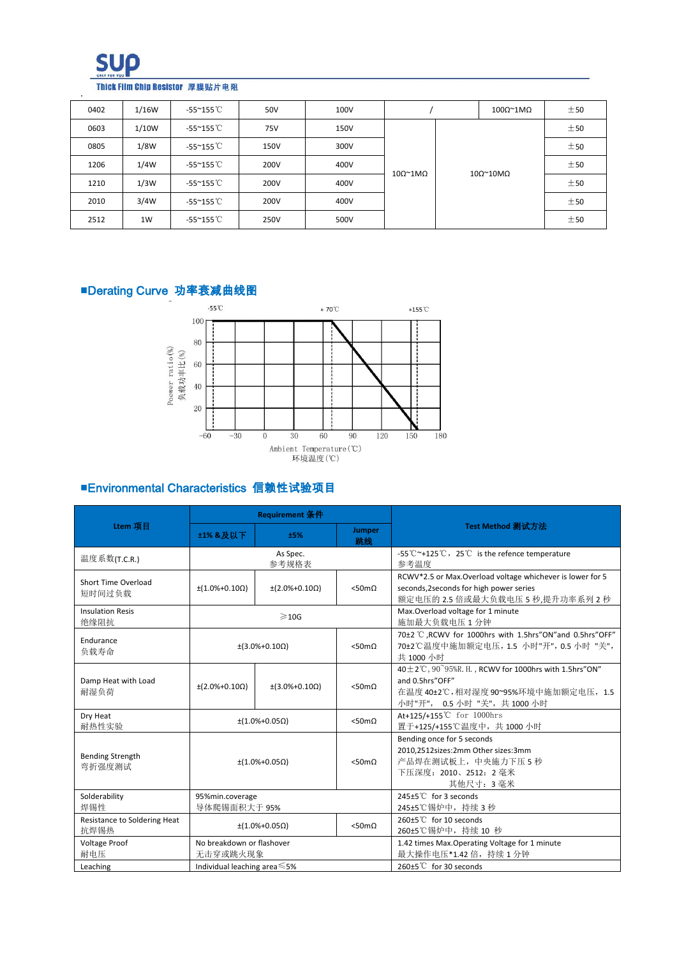

### Thick Film Chip Resistor 厚膜贴片电阻

| 0402 | 1/16W | -55~155 ℃                  | 50V  | 100V        |                                  |  | 100Ω <sup>~</sup> 1MΩ | ±50                   |  |     |
|------|-------|----------------------------|------|-------------|----------------------------------|--|-----------------------|-----------------------|--|-----|
| 0603 | 1/10W | $-55^{\circ}155^{\circ}$ C | 75V  | <b>150V</b> |                                  |  |                       | ±50                   |  |     |
| 0805 | 1/8W  | -55~155 °C                 | 150V | 300V        |                                  |  |                       | ±50                   |  |     |
| 1206 | 1/4W  | $-55^{\circ}155^{\circ}$ C | 200V | 400V        | $10\Omega^{\sim}1\text{M}\Omega$ |  |                       | ±50                   |  |     |
| 1210 | 1/3W  | $-55^{\circ}155^{\circ}$ C | 200V | 400V        |                                  |  |                       | 10Ω <sup>~</sup> 10MΩ |  | ±50 |
| 2010 | 3/4W  | -55~155 ℃                  | 200V | 400V        |                                  |  |                       |                       |  |     |
| 2512 | 1W    | $-55^{\circ}155^{\circ}$ C | 250V | 500V        |                                  |  |                       | ±50                   |  |     |

# ■Derating Curve 功率衰减曲线图



## ■Environmental Characteristics 信赖性试验项目

|                                                                                        |                                                     | <b>Requirement 条件</b>      |                       |                                                                                                                                                       |  |  |  |
|----------------------------------------------------------------------------------------|-----------------------------------------------------|----------------------------|-----------------------|-------------------------------------------------------------------------------------------------------------------------------------------------------|--|--|--|
| Ltem 项目                                                                                | <b>±1% &amp;及以下</b>                                 | ±5%                        | <b>Jumper</b><br>跳线   | Test Method 测试方法                                                                                                                                      |  |  |  |
| 温度系数(T.C.R.)                                                                           |                                                     | As Spec.<br>参考规格表          |                       | -55 $\degree$ -125 $\degree$ C, 25 $\degree$ is the refence temperature<br>参考温度                                                                       |  |  |  |
| Short Time Overload<br>短时间过负载                                                          | $\pm(1.0\% + 0.10\Omega)$                           | $\pm (2.0\% + 0.10\Omega)$ | $<$ 50m $\Omega$      | RCWV*2.5 or Max.Overload voltage whichever is lower for 5<br>seconds, 2 seconds for high power series<br>额定电压的 2.5 倍或最大负载电压 5 秒,提升功率系列 2 秒            |  |  |  |
| <b>Insulation Resis</b><br>绝缘阻抗                                                        |                                                     | $\geqslant$ 10G            |                       | Max. Overload voltage for 1 minute<br>施加最大负载电压1分钟                                                                                                     |  |  |  |
| Endurance<br>负载寿命                                                                      |                                                     | $\pm(3.0\% + 0.10\Omega)$  | $<$ 50m $\Omega$      | 70±2 °C ,RCWV for 1000hrs with 1.5hrs"ON"and 0.5hrs"OFF"<br>70±2℃温度中施加额定电压, 1.5 小时"开", 0.5 小时 "关",<br>共 1000 小时                                       |  |  |  |
| Damp Heat with Load<br>耐湿负荷                                                            | $\pm (2.0\% + 0.10\Omega)$                          | $\pm(3.0\% + 0.10\Omega)$  | $<$ 50m $\Omega$      | 40 $\pm$ 2°C, 90°95%R. H., RCWV for 1000hrs with 1.5hrs"ON"<br>and 0.5hrs"OFF"<br>在温度 40±2℃,相对湿度 90~95%环境中施加额定电压, 1.5<br>小时"开", 0.5 小时 "关", 共 1000 小时 |  |  |  |
| Dry Heat<br>耐热性实验                                                                      | $< 50 \text{m}\Omega$<br>$\pm (1.0\% + 0.05\Omega)$ |                            |                       | At+125/+155℃ for 1000hrs<br>置于+125/+155℃温度中, 共 1000 小时                                                                                                |  |  |  |
| <b>Bending Strength</b><br>$\pm (1.0\% + 0.05\Omega)$<br>弯折强度测试                        |                                                     |                            | $< 50 \text{m}\Omega$ | Bending once for 5 seconds<br>2010,2512sizes:2mm Other sizes:3mm<br>产品焊在测试板上,中央施力下压5秒<br>下压深度:2010、2512:2 毫米<br>其他尺寸: 3毫米                             |  |  |  |
| Solderability<br>焊锡性                                                                   | 95%min.coverage<br>导体爬锡面积大于 95%                     |                            |                       | 245±5℃ for 3 seconds<br>245±5℃锡炉中, 持续 3 秒                                                                                                             |  |  |  |
| Resistance to Soldering Heat<br>$\pm (1.0\% + 0.05\Omega)$<br>$<$ 50m $\Omega$<br>抗焊锡热 |                                                     |                            |                       | 260±5℃ for 10 seconds<br>260±5℃锡炉中, 持续 10 秒                                                                                                           |  |  |  |
| Voltage Proof<br>耐电压                                                                   | No breakdown or flashover<br>无击穿或跳火现象               |                            |                       | 1.42 times Max. Operating Voltage for 1 minute<br>最大操作电压*1.42 倍, 持续 1 分钟                                                                              |  |  |  |
| Leaching                                                                               | Individual leaching area $\leq 5\%$                 |                            |                       | 260±5℃ for 30 seconds                                                                                                                                 |  |  |  |